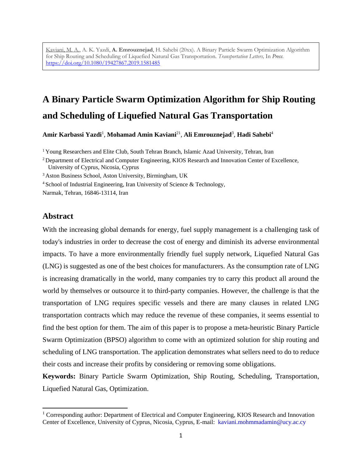Kaviani, M. A., A. K. Yazdi, **A. Emrouznejad**, H. Sahebi (20xx). A Binary Particle Swarm Optimization Algorithm for Ship Routing and Scheduling of Liquefied Natural Gas Transportation. *Transportation Letters,* In *Press*. <https://doi.org/10.1080/19427867.2019.1581485>

# **A Binary Particle Swarm Optimization Algorithm for Ship Routing and Scheduling of Liquefied Natural Gas Transportation**

**Amir Karbassi Yazdi**<sup>1</sup> , **Mohamad Amin Kaviani**<sup>21</sup> , **Ali Emrouznejad**<sup>3</sup> , **Hadi Sahebi**<sup>4</sup>

<sup>1</sup> Young Researchers and Elite Club, South Tehran Branch, Islamic Azad University, Tehran, Iran

University of Cyprus, Nicosia, Cyprus

<sup>3</sup> Aston Business School, Aston University, Birmingham, UK

<sup>4</sup> School of Industrial Engineering, Iran University of Science & Technology,

Narmak, Tehran, 16846-13114, Iran

# **Abstract**

l

With the increasing global demands for energy, fuel supply management is a challenging task of today's industries in order to decrease the cost of energy and diminish its adverse environmental impacts. To have a more environmentally friendly fuel supply network, Liquefied Natural Gas (LNG) is suggested as one of the best choices for manufacturers. As the consumption rate of LNG is increasing dramatically in the world, many companies try to carry this product all around the world by themselves or outsource it to third-party companies. However, the challenge is that the transportation of LNG requires specific vessels and there are many clauses in related LNG transportation contracts which may reduce the revenue of these companies, it seems essential to find the best option for them. The aim of this paper is to propose a meta-heuristic Binary Particle Swarm Optimization (BPSO) algorithm to come with an optimized solution for ship routing and scheduling of LNG transportation. The application demonstrates what sellers need to do to reduce their costs and increase their profits by considering or removing some obligations.

**Keywords:** Binary Particle Swarm Optimization, Ship Routing, Scheduling, Transportation, Liquefied Natural Gas, Optimization.

<sup>&</sup>lt;sup>2</sup> Department of Electrical and Computer Engineering, KIOS Research and Innovation Center of Excellence,

<sup>&</sup>lt;sup>1</sup> Corresponding author: Department of Electrical and Computer Engineering, KIOS Research and Innovation Center of Excellence, University of Cyprus, Nicosia, Cyprus, E-mail: kaviani.mohmmadamin@ucy.ac.cy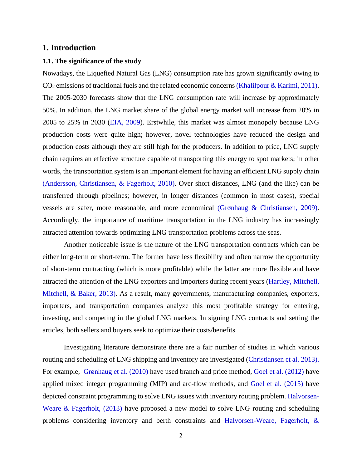# **1. Introduction**

#### **1.1. The significance of the study**

Nowadays, the Liquefied Natural Gas (LNG) consumption rate has grown significantly owing to CO<sup>2</sup> emissions of traditional fuels and the related economic concerns (Khalilpour & Karimi, 2011). The 2005-2030 forecasts show that the LNG consumption rate will increase by approximately 50%. In addition, the LNG market share of the global energy market will increase from 20% in 2005 to 25% in 2030 (EIA, 2009). Erstwhile, this market was almost monopoly because LNG production costs were quite high; however, novel technologies have reduced the design and production costs although they are still high for the producers. In addition to price, LNG supply chain requires an effective structure capable of transporting this energy to spot markets; in other words, the transportation system is an important element for having an efficient LNG supply chain (Andersson, Christiansen, & Fagerholt, 2010). Over short distances, LNG (and the like) can be transferred through pipelines; however, in longer distances (common in most cases), special vessels are safer, more reasonable, and more economical (Grønhaug & Christiansen, 2009). Accordingly, the importance of maritime transportation in the LNG industry has increasingly attracted attention towards optimizing LNG transportation problems across the seas.

Another noticeable issue is the nature of the LNG transportation contracts which can be either long-term or short-term. The former have less flexibility and often narrow the opportunity of short-term contracting (which is more profitable) while the latter are more flexible and have attracted the attention of the LNG exporters and importers during recent years (Hartley, Mitchell, Mitchell, & Baker, 2013). As a result, many governments, manufacturing companies, exporters, importers, and transportation companies analyze this most profitable strategy for entering, investing, and competing in the global LNG markets. In signing LNG contracts and setting the articles, both sellers and buyers seek to optimize their costs/benefits.

Investigating literature demonstrate there are a fair number of studies in which various routing and scheduling of LNG shipping and inventory are investigated (Christiansen et al. 2013). For example, Grønhaug et al. (2010) have used branch and price method, Goel et al. (2012) have applied mixed integer programming (MIP) and arc-flow methods, and Goel et al. (2015) have depicted constraint programming to solve LNG issues with inventory routing problem. Halvorsen-Weare & Fagerholt, (2013) have proposed a new model to solve LNG routing and scheduling problems considering inventory and berth constraints and Halvorsen-Weare, Fagerholt, &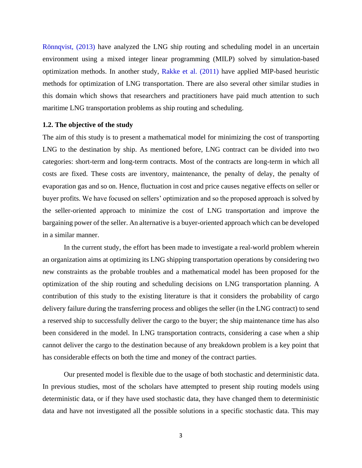Rönnqvist, (2013) have analyzed the LNG ship routing and scheduling model in an uncertain environment using a mixed integer linear programming (MILP) solved by simulation-based optimization methods. In another study, Rakke et al. (2011) have applied MIP-based heuristic methods for optimization of LNG transportation. There are also several other similar studies in this domain which shows that researchers and practitioners have paid much attention to such maritime LNG transportation problems as ship routing and scheduling.

#### **1.2. The objective of the study**

The aim of this study is to present a mathematical model for minimizing the cost of transporting LNG to the destination by ship. As mentioned before, LNG contract can be divided into two categories: short-term and long-term contracts. Most of the contracts are long-term in which all costs are fixed. These costs are inventory, maintenance, the penalty of delay, the penalty of evaporation gas and so on. Hence, fluctuation in cost and price causes negative effects on seller or buyer profits. We have focused on sellers' optimization and so the proposed approach is solved by the seller-oriented approach to minimize the cost of LNG transportation and improve the bargaining power of the seller. An alternative is a buyer-oriented approach which can be developed in a similar manner.

In the current study, the effort has been made to investigate a real-world problem wherein an organization aims at optimizing its LNG shipping transportation operations by considering two new constraints as the probable troubles and a mathematical model has been proposed for the optimization of the ship routing and scheduling decisions on LNG transportation planning. A contribution of this study to the existing literature is that it considers the probability of cargo delivery failure during the transferring process and obliges the seller (in the LNG contract) to send a reserved ship to successfully deliver the cargo to the buyer; the ship maintenance time has also been considered in the model. In LNG transportation contracts, considering a case when a ship cannot deliver the cargo to the destination because of any breakdown problem is a key point that has considerable effects on both the time and money of the contract parties.

Our presented model is flexible due to the usage of both stochastic and deterministic data. In previous studies, most of the scholars have attempted to present ship routing models using deterministic data, or if they have used stochastic data, they have changed them to deterministic data and have not investigated all the possible solutions in a specific stochastic data. This may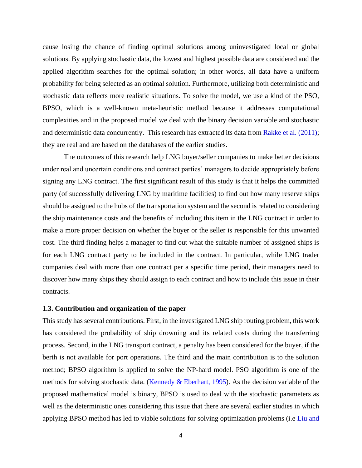cause losing the chance of finding optimal solutions among uninvestigated local or global solutions. By applying stochastic data, the lowest and highest possible data are considered and the applied algorithm searches for the optimal solution; in other words, all data have a uniform probability for being selected as an optimal solution. Furthermore, utilizing both deterministic and stochastic data reflects more realistic situations. To solve the model, we use a kind of the PSO, BPSO, which is a well-known meta-heuristic method because it addresses computational complexities and in the proposed model we deal with the binary decision variable and stochastic and deterministic data concurrently. This research has extracted its data from Rakke et al. (2011); they are real and are based on the databases of the earlier studies.

The outcomes of this research help LNG buyer/seller companies to make better decisions under real and uncertain conditions and contract parties' managers to decide appropriately before signing any LNG contract. The first significant result of this study is that it helps the committed party (of successfully delivering LNG by maritime facilities) to find out how many reserve ships should be assigned to the hubs of the transportation system and the second is related to considering the ship maintenance costs and the benefits of including this item in the LNG contract in order to make a more proper decision on whether the buyer or the seller is responsible for this unwanted cost. The third finding helps a manager to find out what the suitable number of assigned ships is for each LNG contract party to be included in the contract. In particular, while LNG trader companies deal with more than one contract per a specific time period, their managers need to discover how many ships they should assign to each contract and how to include this issue in their contracts.

#### **1.3. Contribution and organization of the paper**

This study has several contributions. First, in the investigated LNG ship routing problem, this work has considered the probability of ship drowning and its related costs during the transferring process. Second, in the LNG transport contract, a penalty has been considered for the buyer, if the berth is not available for port operations. The third and the main contribution is to the solution method; BPSO algorithm is applied to solve the NP-hard model. PSO algorithm is one of the methods for solving stochastic data. (Kennedy & Eberhart, 1995). As the decision variable of the proposed mathematical model is binary, BPSO is used to deal with the stochastic parameters as well as the deterministic ones considering this issue that there are several earlier studies in which applying BPSO method has led to viable solutions for solving optimization problems (i.e Liu and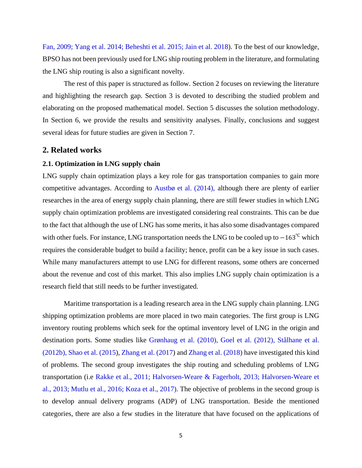Fan, 2009; Yang et al. 2014; Beheshti et al. 2015; Jain et al. 2018). To the best of our knowledge, BPSO has not been previously used for LNG ship routing problem in the literature, and formulating the LNG ship routing is also a significant novelty.

The rest of this paper is structured as follow. Section 2 focuses on reviewing the literature and highlighting the research gap. Section 3 is devoted to describing the studied problem and elaborating on the proposed mathematical model. Section 5 discusses the solution methodology. In Section 6, we provide the results and sensitivity analyses. Finally, conclusions and suggest several ideas for future studies are given in Section 7.

# **2. Related works**

# **2.1. Optimization in LNG supply chain**

LNG supply chain optimization plays a key role for gas transportation companies to gain more competitive advantages. According to Austbø et al. (2014), although there are plenty of earlier researches in the area of energy supply chain planning, there are still fewer studies in which LNG supply chain optimization problems are investigated considering real constraints. This can be due to the fact that although the use of LNG has some merits, it has also some disadvantages compared with other fuels. For instance, LNG transportation needs the LNG to be cooled up to −163<sup>°C</sup> which requires the considerable budget to build a facility; hence, profit can be a key issue in such cases. While many manufacturers attempt to use LNG for different reasons, some others are concerned about the revenue and cost of this market. This also implies LNG supply chain optimization is a research field that still needs to be further investigated.

Maritime transportation is a leading research area in the LNG supply chain planning. LNG shipping optimization problems are more placed in two main categories. The first group is LNG inventory routing problems which seek for the optimal inventory level of LNG in the origin and destination ports. Some studies like Grønhaug et al. (2010), Goel et al. (2012), Stålhane et al. (2012b), Shao et al. (2015), Zhang et al. (2017) and Zhang et al. (2018) have investigated this kind of problems. The second group investigates the ship routing and scheduling problems of LNG transportation (i.e Rakke et al., 2011; Halvorsen-Weare & Fagerholt, 2013; Halvorsen-Weare et al., 2013; Mutlu et al., 2016; Koza et al., 2017). The objective of problems in the second group is to develop annual delivery programs (ADP) of LNG transportation. Beside the mentioned categories, there are also a few studies in the literature that have focused on the applications of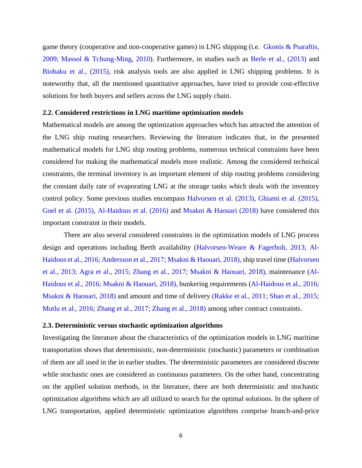game theory (cooperative and non-cooperative games) in LNG shipping (i.e. Gkonis & Psaraftis, 2009; Massol & Tchung-Ming, 2010). Furthermore, in studies such as Berle et al., (2013) and Biobaku et al., (2015), risk analysis tools are also applied in LNG shipping problems. It is noteworthy that, all the mentioned quantitative approaches, have tried to provide cost-effective solutions for both buyers and sellers across the LNG supply chain.

# **2.2. Considered restrictions in LNG maritime optimization models**

Mathematical models are among the optimization approaches which has attracted the attention of the LNG ship routing researchers. Reviewing the literature indicates that, in the presented mathematical models for LNG ship routing problems, numerous technical constraints have been considered for making the mathematical models more realistic. Among the considered technical constraints, the terminal inventory is an important element of ship routing problems considering the constant daily rate of evaporating LNG at the storage tanks which deals with the inventory control policy. Some previous studies encompass Halvorsen et al. (2013), Ghiami et al. (2015), Goel et al. (2015), Al-Haidous et al. (2016) and Msakni & Haouari (2018) have considered this important constraint in their models.

There are also several considered constraints in the optimization models of LNG process design and operations including Berth availability (Halvorsen-Weare & Fagerholt, 2013; Al-Haidous et al., 2016; Andersson et al., 2017; Msakni & Haouari, 2018), ship travel time (Halvorsen et al., 2013; Agra et al., 2015; Zhang et al., 2017; Msakni & Haouari, 2018), maintenance (Al-Haidous et al., 2016; Msakni & Haouari, 2018), bunkering requirements (Al-Haidous et al., 2016; Msakni & Haouari, 2018) and amount and time of delivery (Rakke et al., 2011; Shao et al., 2015; Mutlu et al., 2016; Zhang et al., 2017; Zhang et al., 2018) among other contract constraints.

# **2.3. Deterministic versus stochastic optimization algorithms**

Investigating the literature about the characteristics of the optimization models in LNG maritime transportation shows that deterministic, non-deterministic (stochastic) parameters or combination of them are all used in the in earlier studies. The deterministic parameters are considered discrete while stochastic ones are considered as continuous parameters. On the other hand, concentrating on the applied solution methods, in the literature, there are both deterministic and stochastic optimization algorithms which are all utilized to search for the optimal solutions. In the sphere of LNG transportation, applied deterministic optimization algorithms comprise branch-and-price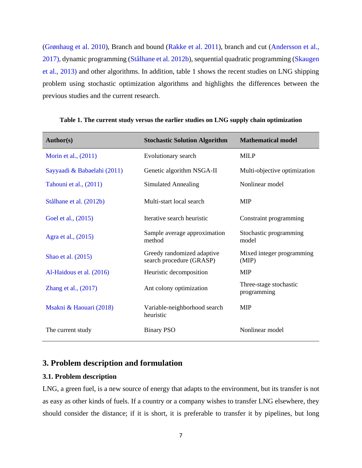(Grønhaug et al. 2010), Branch and bound (Rakke et al. 2011), branch and cut (Andersson et al., 2017), dynamic programming (Stålhane et al. 2012b), sequential quadratic programming (Skaugen et al., 2013) and other algorithms. In addition, table 1 shows the recent studies on LNG shipping problem using stochastic optimization algorithms and highlights the differences between the previous studies and the current research.

| <b>Author(s)</b>            | <b>Stochastic Solution Algorithm</b>                   | <b>Mathematical model</b>             |
|-----------------------------|--------------------------------------------------------|---------------------------------------|
| Morin et al., (2011)        | Evolutionary search                                    | <b>MILP</b>                           |
| Sayyaadi & Babaelahi (2011) | Genetic algorithm NSGA-II                              | Multi-objective optimization          |
| Tahouni et al., (2011)      | Simulated Annealing                                    | Nonlinear model                       |
| Stålhane et al. (2012b)     | Multi-start local search                               | <b>MIP</b>                            |
| Goel et al., (2015)         | Iterative search heuristic                             | Constraint programming                |
| Agra et al., (2015)         | Sample average approximation<br>method                 | Stochastic programming<br>model       |
| Shao et al. (2015)          | Greedy randomized adaptive<br>search procedure (GRASP) | Mixed integer programming<br>(MIP)    |
| Al-Haidous et al. (2016)    | Heuristic decomposition                                | <b>MIP</b>                            |
| Zhang et al., (2017)        | Ant colony optimization                                | Three-stage stochastic<br>programming |
| Msakni & Haouari (2018)     | Variable-neighborhood search<br>heuristic              | <b>MIP</b>                            |
| The current study           | <b>Binary PSO</b>                                      | Nonlinear model                       |

**Table 1. The current study versus the earlier studies on LNG supply chain optimization**

# **3. Problem description and formulation**

# **3.1. Problem description**

LNG, a green fuel, is a new source of energy that adapts to the environment, but its transfer is not as easy as other kinds of fuels. If a country or a company wishes to transfer LNG elsewhere, they should consider the distance; if it is short, it is preferable to transfer it by pipelines, but long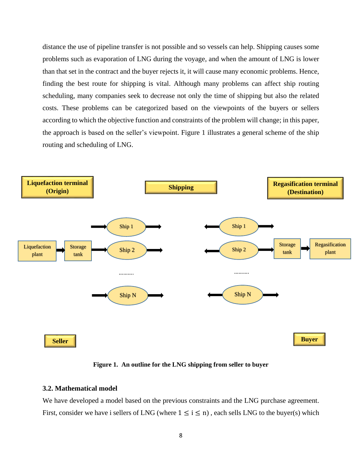distance the use of pipeline transfer is not possible and so vessels can help. Shipping causes some problems such as evaporation of LNG during the voyage, and when the amount of LNG is lower than that set in the contract and the buyer rejects it, it will cause many economic problems. Hence, finding the best route for shipping is vital. Although many problems can affect ship routing scheduling, many companies seek to decrease not only the time of shipping but also the related costs. These problems can be categorized based on the viewpoints of the buyers or sellers according to which the objective function and constraints of the problem will change; in this paper, the approach is based on the seller's viewpoint. Figure 1 illustrates a general scheme of the ship routing and scheduling of LNG.



**Figure 1. An outline for the LNG shipping from seller to buyer**

#### **3.2. Mathematical model**

We have developed a model based on the previous constraints and the LNG purchase agreement. First, consider we have i sellers of LNG (where  $1 \le i \le n$ ), each sells LNG to the buyer(s) which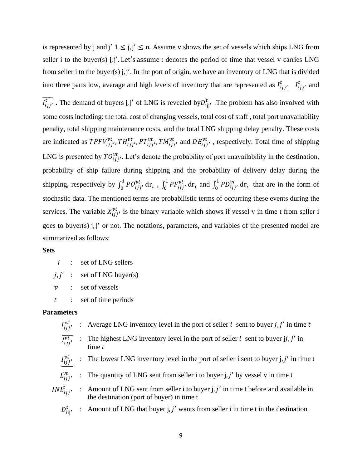is represented by j and j'  $1 \le j, j' \le n$ . Assume v shows the set of vessels which ships LNG from seller i to the buyer(s) j, j'. Let's assume t denotes the period of time that vessel v carries LNG from seller i to the buyer(s) j, j'. In the port of origin, we have an inventory of LNG that is divided into three parts low, average and high levels of inventory that are represented as  $I_{ijj'}^t$   $I_{ijj'}^t$  and

 $\overline{l_{ijj'}^t}$ . The demand of buyers j, j' of LNG is revealed by  $D_{ijj'}^t$ . The problem has also involved with some costs including: the total cost of changing vessels, total cost of staff , total port unavailability penalty, total shipping maintenance costs, and the total LNG shipping delay penalty. These costs are indicated as  $TPFV_{ijj'}^{vt}$ ,  $TH_{ijj'}^{vt}$ ,  $PT_{ijj'}^{vt}$ ,  $TM_{ijj'}^{vt}$  and  $DE_{ijj'}^{vt}$ , respectively. Total time of shipping LNG is presented by  $TO^{vt}_{ijj'}$ . Let's denote the probability of port unavailability in the destination, probability of ship failure during shipping and the probability of delivery delay during the shipping, respectively by  $\int_0^1 PO_{ijj'}^{vt}$  $\int_0^1 P O_{ijj'}^{vt} dr_i$ ,  $\int_0^1 P F_{ijj'}^{vt}$  $\int_0^1 P F_{ijj'}^{vt} dr_i$  and  $\int_0^1 P D_{ijj'}^{vt}$  $\int_0^1 P D_{ijj'}^{vt} dr_i$  that are in the form of stochastic data. The mentioned terms are probabilistic terms of occurring these events during the services. The variable  $X_{ijj}^{vt}$  is the binary variable which shows if vessel v in time t from seller i goes to buyer(s) j, j ′ or not. The notations, parameters, and variables of the presented model are summarized as follows:

#### **Sets**

 $i$  : set of LNG sellers

 $j, j'$  : set of LNG buyer(s)

 $v$  : set of vessels

: set of time periods

# **Parameters**

- $I_{ijj'}^{vt}$  : Average LNG inventory level in the port of seller *i* sent to buyer *j*, *j'* in time *t*
- $\overline{I_{ijj'}^{vt}}$  : The highest LNG inventory level in the port of seller *i* sent to buyer jj, j' in time t
- $I_{ijj'}^{vt}$  : The lowest LNG inventory level in the port of seller i sent to buyer j, j' in time t
- $L_{ijj'}^{vt}$ : The quantity of LNG sent from seller i to buyer j, j' by vessel v in time t
- $INL_{ijj'}^t$  : Amount of LNG sent from seller i to buyer j, j' in time t before and available in the destination (port of buyer) in time t
	- $D_{ijj'}^t$  : Amount of LNG that buyer j, j' wants from seller i in time t in the destination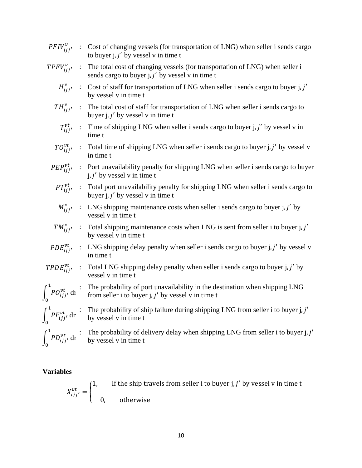|                     | $PFIV_{ijj'}^v$ : Cost of changing vessels (for transportation of LNG) when seller i sends cargo<br>to buyer $j, j'$ by vessel v in time t                |
|---------------------|-----------------------------------------------------------------------------------------------------------------------------------------------------------|
|                     | $TPFV_{ij}^{\nu}$ : The total cost of changing vessels (for transportation of LNG) when seller i<br>sends cargo to buyer $j$ , $j'$ by vessel v in time t |
|                     | $H_{ijj'}^v$ : Cost of staff for transportation of LNG when seller i sends cargo to buyer j, j'<br>by vessel v in time t                                  |
|                     | $TH_{ijj'}^v$ : The total cost of staff for transportation of LNG when seller i sends cargo to<br>buyer $j, j'$ by vessel v in time t                     |
|                     | $T_{ijj'}^{vt}$ : Time of shipping LNG when seller i sends cargo to buyer j, j' by vessel v in<br>time t                                                  |
|                     | $TO_{ij}^{vt}$ : Total time of shipping LNG when seller i sends cargo to buyer j, j' by vessel v<br>in time t                                             |
|                     | $PEP_{ijj'}^{vt}$ : Port unavailability penalty for shipping LNG when seller i sends cargo to buyer<br>$j, j'$ by vessel v in time t                      |
|                     | $PT_{ijj'}^{vt}$ : Total port unavailability penalty for shipping LNG when seller i sends cargo to<br>buyer $j, j'$ by vessel v in time t                 |
|                     | $M_{ijj'}^v$ : LNG shipping maintenance costs when seller i sends cargo to buyer j, j' by<br>vessel v in time t                                           |
|                     | $TM_{ijj'}^v$ : Total shipping maintenance costs when LNG is sent from seller i to buyer j, j'<br>by vessel v in time t                                   |
|                     | $PDE_{ijj'}^{vt}$ : LNG shipping delay penalty when seller i sends cargo to buyer j, j' by vessel v<br>in time t                                          |
| $TPDE_{ijj}^{vt}$ : | Total LNG shipping delay penalty when seller i sends cargo to buyer j, j' by<br>vessel v in time t                                                        |
|                     | The probability of port unavailability in the destination when shipping LNG<br>from seller i to buyer j, $j'$ by vessel v in time t                       |
|                     | $\int_0^1 PF_{ijj'}^{vt} dr$ : The probability of ship failure during shipping LNG from seller i to buyer j, j'                                           |
|                     | The probability of delivery delay when shipping LNG from seller i to buyer j, j'<br>by vessel v in time t                                                 |
|                     | $\int_{0}^{1} P O_{ijj'}^{vt} \, \mathrm{d} \mathbf{r}$<br>$\int^1 P D_{ijj'}^{vt}$ dr                                                                    |

# **Variables**

 $X_{ijj'}^{vt} = \left\{$ 1, If the ship travels from seller i to buyer j,  $j'$  by vessel v in time t 0, otherwise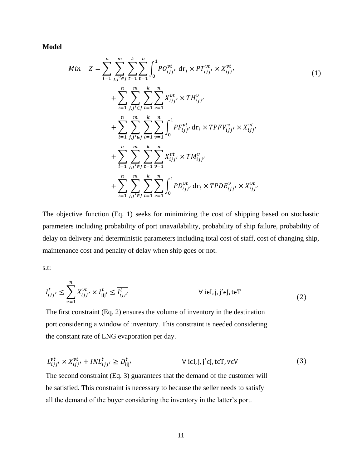**Model**

$$
Min \quad Z = \sum_{i=1}^{n} \sum_{j,j' \in J}^{m} \sum_{t=1}^{k} \sum_{v=1}^{n} \int_{0}^{1} PO_{ijj'}^{vt} \, dr_{i} \times PT_{ijj'}^{vt} \times X_{ijj'}^{vt} + \sum_{i=1}^{n} \sum_{j,j' \in J}^{m} \sum_{t=1}^{k} \sum_{v=1}^{n} X_{ijj'}^{vt} \times TH_{ijj'}^{v} + \sum_{i=1}^{n} \sum_{j,j' \in J}^{m} \sum_{t=1}^{k} \sum_{v=1}^{n} \int_{0}^{1} PP_{ijj'}^{vt} \, dr_{i} \times TPPV_{ijj'}^{v} \times X_{ijj'}^{vt} + \sum_{i=1}^{n} \sum_{j,j' \in J}^{m} \sum_{t=1}^{k} \sum_{v=1}^{n} X_{ijj'}^{vt} \times TM_{ijj'}^{v} + \sum_{i=1}^{n} \sum_{j,j' \in J}^{m} \sum_{t=1}^{k} \sum_{v=1}^{n} \int_{0}^{1} PD_{ijj'}^{vt} \, dr_{i} \times TPDF_{ijj'}^{v} \times X_{ijj'}^{vt}
$$

The objective function (Eq. 1) seeks for minimizing the cost of shipping based on stochastic parameters including probability of port unavailability, probability of ship failure, probability of delay on delivery and deterministic parameters including total cost of staff, cost of changing ship, maintenance cost and penalty of delay when ship goes or not.

s.t:

 ′ <sup>≤</sup> ∑ ′ × ijj ′ =1 ≤ ′ ̅̅̅̅̅ ∀ iϵI, j, j ′ ϵJ,tϵT (2)

The first constraint (Eq. 2) ensures the volume of inventory in the destination port considering a window of inventory. This constraint is needed considering the constant rate of LNG evaporation per day.

$$
L_{ijj'}^{vt} \times X_{ijj'}^{vt} + INL_{ijj'}^t \ge D_{ijj'}^t \qquad \forall \text{ i} \in I, j, j' \in J, t \in T, v \in V \tag{3}
$$

The second constraint (Eq. 3) guarantees that the demand of the customer will be satisfied. This constraint is necessary to because the seller needs to satisfy all the demand of the buyer considering the inventory in the latter's port.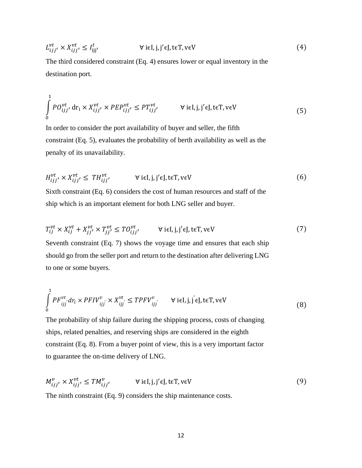$$
L_{ijj'}^{vt} \times X_{ijj'}^{vt} \le I_{ijj'}^t \qquad \qquad \forall \text{ i} \in I, j, j' \in J, t \in T, v \in V \tag{4}
$$

The third considered constraint (Eq. 4) ensures lower or equal inventory in the destination port.

$$
\int_{0}^{1} P O_{ijj'}^{vt} \, \mathrm{d}r_{i} \times X_{ijj'}^{vt} \times P E P_{ijj'}^{vt} \le P T_{ijj'}^{vt} \qquad \forall \, \mathrm{i} \epsilon \mathrm{I}, \mathrm{j}, \mathrm{j'} \epsilon \mathrm{J}, \mathrm{t} \epsilon \mathrm{T}, \mathrm{v} \epsilon \mathrm{V}
$$
\n
$$
\tag{5}
$$

In order to consider the port availability of buyer and seller, the fifth constraint (Eq. 5), evaluates the probability of berth availability as well as the penalty of its unavailability.

$$
H_{ijj'}^{vt} \times X_{ijj'}^{vt} \leq TH_{ijj'}^{vt} \qquad \forall \text{ i} \in I, j, j' \in J, \text{ t} \in T, \text{ v} \in V
$$
 (6)

Sixth constraint (Eq. 6) considers the cost of human resources and staff of the ship which is an important element for both LNG seller and buyer.

$$
T_{ij}^{vt} \times X_{ij}^{vt} + X_{jj'}^{vt} \times T_{jj'}^{vt} \le T O_{ijj'}^{vt} \qquad \forall \text{ i} \in I, j \in J, t \in T, v \in V
$$
 (7)

Seventh constraint (Eq. 7) shows the voyage time and ensures that each ship should go from the seller port and return to the destination after delivering LNG to one or some buyers.

$$
\int_{0}^{1} PF_{ijj}^{vt} dr_i \times PFIV_{ijj}^{v} \times X_{ijj}^{vt} \le TPFV_{ijj}^{v} \qquad \forall \text{ i} \in I, j, j \in J, t \in T, v \in V
$$
\n(8)

The probability of ship failure during the shipping process, costs of changing ships, related penalties, and reserving ships are considered in the eighth constraint (Eq. 8). From a buyer point of view, this is a very important factor to guarantee the on-time delivery of LNG.

$$
M_{ijj'}^{\nu} \times X_{ijj'}^{\nu t} \le TM_{ijj'}^{\nu} \qquad \forall \text{ i} \in I, j, j' \in J, t \in T, v \in V
$$
 (9)

The ninth constraint (Eq. 9) considers the ship maintenance costs.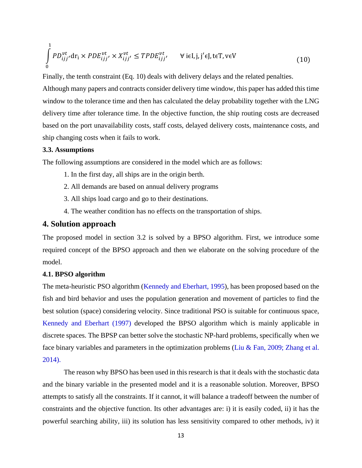$$
\int_{0}^{1} P D_{ijj'}^{vt} dr_i \times P D E_{ijj'}^{vt} \times X_{ijj'}^{vt} \leq T P D E_{ijj'}^{vt} \qquad \forall \text{ i} \in I, j, j' \in J, \text{ t} \in T, \text{ v} \in V
$$
\n
$$
(10)
$$

Finally, the tenth constraint (Eq. 10) deals with delivery delays and the related penalties.

Although many papers and contracts consider delivery time window, this paper has added this time window to the tolerance time and then has calculated the delay probability together with the LNG delivery time after tolerance time. In the objective function, the ship routing costs are decreased based on the port unavailability costs, staff costs, delayed delivery costs, maintenance costs, and ship changing costs when it fails to work.

## **3.3. Assumptions**

The following assumptions are considered in the model which are as follows:

- 1. In the first day, all ships are in the origin berth.
- 2. All demands are based on annual delivery programs
- 3. All ships load cargo and go to their destinations.
- 4. The weather condition has no effects on the transportation of ships.

# **4. Solution approach**

The proposed model in section 3.2 is solved by a BPSO algorithm. First, we introduce some required concept of the BPSO approach and then we elaborate on the solving procedure of the model.

# **4.1. BPSO algorithm**

The meta-heuristic PSO algorithm (Kennedy and Eberhart, 1995), has been proposed based on the fish and bird behavior and uses the population generation and movement of particles to find the best solution (space) considering velocity. Since traditional PSO is suitable for continuous space, Kennedy and Eberhart (1997) developed the BPSO algorithm which is mainly applicable in discrete spaces. The BPSP can better solve the stochastic NP-hard problems, specifically when we face binary variables and parameters in the optimization problems (Liu & Fan, 2009; Zhang et al. 2014).

The reason why BPSO has been used in this research is that it deals with the stochastic data and the binary variable in the presented model and it is a reasonable solution. Moreover, BPSO attempts to satisfy all the constraints. If it cannot, it will balance a tradeoff between the number of constraints and the objective function. Its other advantages are: i) it is easily coded, ii) it has the powerful searching ability, iii) its solution has less sensitivity compared to other methods, iv) it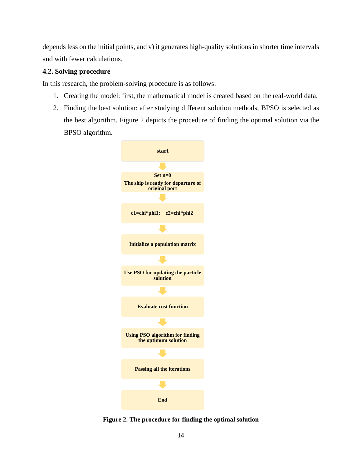depends less on the initial points, and v) it generates high-quality solutions in shorter time intervals and with fewer calculations.

# **4.2. Solving procedure**

In this research, the problem-solving procedure is as follows:

- 1. Creating the model: first, the mathematical model is created based on the real-world data.
- 2. Finding the best solution: after studying different solution methods, BPSO is selected as the best algorithm. Figure 2 depicts the procedure of finding the optimal solution via the BPSO algorithm.



**Figure 2. The procedure for finding the optimal solution**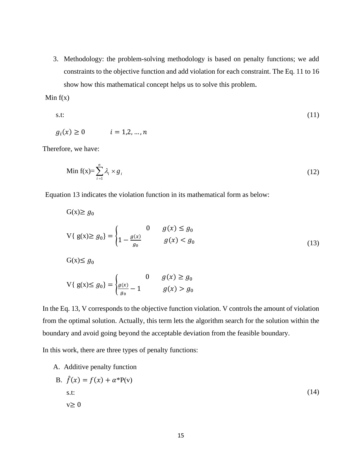3. Methodology: the problem-solving methodology is based on penalty functions; we add constraints to the objective function and add violation for each constraint. The Eq. 11 to 16 show how this mathematical concept helps us to solve this problem.

Min  $f(x)$ 

s.t: (11)

$$
g_i(x) \ge 0 \qquad \qquad i = 1, 2, \dots, n
$$

Therefore, we have:

$$
\text{Min } f(x) = \sum_{i=1}^{n} \lambda_i \times g_i \tag{12}
$$

Equation 13 indicates the violation function in its mathematical form as below:

$$
G(x) \ge g_0
$$
  

$$
V\{ g(x) \ge g_0 \} = \begin{cases} 0 & g(x) \le g_0 \\ 1 - \frac{g(x)}{g_0} & g(x) < g_0 \end{cases}
$$
 (13)  

$$
G(x) \le g_0
$$

$$
\overline{y} = \overline{y}
$$

$$
V\{g(x) \le g_0\} = \begin{cases} 0 & g(x) \ge g_0 \\ \frac{g(x)}{g_0} - 1 & g(x) > g_0 \end{cases}
$$

In the Eq. 13, V corresponds to the objective function violation. V controls the amount of violation from the optimal solution. Actually, this term lets the algorithm search for the solution within the boundary and avoid going beyond the acceptable deviation from the feasible boundary.

In this work, there are three types of penalty functions:

A. Additive penalty function

B. 
$$
\hat{f}(x) = f(x) + \alpha^* P(v)
$$
  
s.t:  
 $v \ge 0$  (14)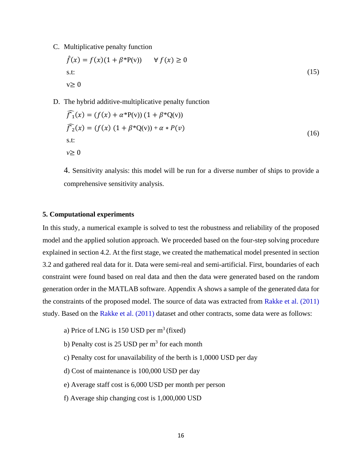C. Multiplicative penalty function

$$
\hat{f}(x) = f(x)(1 + \beta^* P(v)) \qquad \forall f(x) \ge 0
$$
  
s.t:  

$$
v \ge 0
$$
 (15)

D. The hybrid additive-multiplicative penalty function

$$
\widehat{f}_1(x) = (f(x) + \alpha^* P(v)) (1 + \beta^* Q(v))
$$
\n
$$
\widehat{f}_2(x) = (f(x) (1 + \beta^* Q(v)) + \alpha * P(v))
$$
\n
$$
\text{s.t:}
$$
\n
$$
v \ge 0
$$
\n(16)

4. Sensitivity analysis: this model will be run for a diverse number of ships to provide a comprehensive sensitivity analysis.

### **5. Computational experiments**

In this study, a numerical example is solved to test the robustness and reliability of the proposed model and the applied solution approach. We proceeded based on the four-step solving procedure explained in section 4.2. At the first stage, we created the mathematical model presented in section 3.2 and gathered real data for it. Data were semi-real and semi-artificial. First, boundaries of each constraint were found based on real data and then the data were generated based on the random generation order in the MATLAB software. Appendix A shows a sample of the generated data for the constraints of the proposed model. The source of data was extracted from Rakke et al. (2011) study. Based on the Rakke et al. (2011) dataset and other contracts, some data were as follows:

- a) Price of LNG is  $150$  USD per  $m^3$  (fixed)
- b) Penalty cost is 25 USD per  $m<sup>3</sup>$  for each month
- c) Penalty cost for unavailability of the berth is 1,0000 USD per day
- d) Cost of maintenance is 100,000 USD per day
- e) Average staff cost is 6,000 USD per month per person
- f) Average ship changing cost is 1,000,000 USD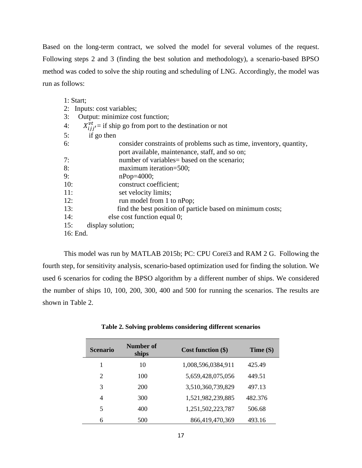Based on the long-term contract, we solved the model for several volumes of the request. Following steps 2 and 3 (finding the best solution and methodology), a scenario-based BPSO method was coded to solve the ship routing and scheduling of LNG. Accordingly, the model was run as follows:

| 1: Start;                                                                 |  |  |  |  |
|---------------------------------------------------------------------------|--|--|--|--|
| 2: Inputs: cost variables;                                                |  |  |  |  |
| Output: minimize cost function;<br>3:                                     |  |  |  |  |
| $X_{i}^{\nu t}$ = if ship go from port to the destination or not<br>4:    |  |  |  |  |
| 5:<br>if go then                                                          |  |  |  |  |
| 6:<br>consider constraints of problems such as time, inventory, quantity, |  |  |  |  |
| port available, maintenance, staff, and so on;                            |  |  |  |  |
| number of variables= based on the scenario;<br>7:                         |  |  |  |  |
| 8:<br>maximum iteration=500;                                              |  |  |  |  |
| 9:<br>$nPop=4000;$                                                        |  |  |  |  |
| 10:<br>construct coefficient;                                             |  |  |  |  |
| 11:<br>set velocity limits;                                               |  |  |  |  |
| 12:<br>run model from 1 to nPop;                                          |  |  |  |  |
| find the best position of particle based on minimum costs;<br>13:         |  |  |  |  |
| 14:<br>else cost function equal 0;                                        |  |  |  |  |
| 15:<br>display solution;                                                  |  |  |  |  |
| 16: End.                                                                  |  |  |  |  |

This model was run by MATLAB 2015b; PC: CPU Corei3 and RAM 2 G. Following the fourth step, for sensitivity analysis, scenario-based optimization used for finding the solution. We used 6 scenarios for coding the BPSO algorithm by a different number of ships. We considered the number of ships 10, 100, 200, 300, 400 and 500 for running the scenarios. The results are shown in Table 2.

| <b>Scenario</b> | Number of<br>ships | Cost function $(\$)$ | Time(S) |
|-----------------|--------------------|----------------------|---------|
|                 | 10                 | 1,008,596,0384,911   | 425.49  |
| $\overline{2}$  | 100                | 5,659,428,075,056    | 449.51  |
| 3               | 200                | 3,510,360,739,829    | 497.13  |
| 4               | 300                | 1,521,982,239,885    | 482.376 |
| 5               | 400                | 1,251,502,223,787    | 506.68  |
| 6               | 500                | 866,419,470,369      | 493.16  |

**Table 2. Solving problems considering different scenarios**

÷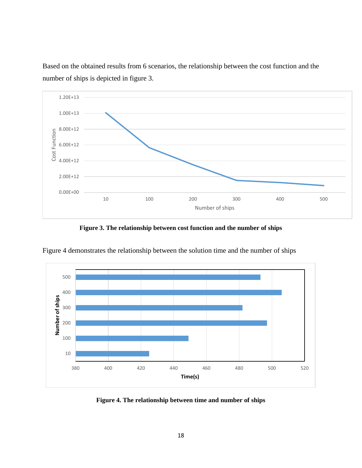

Based on the obtained results from 6 scenarios, the relationship between the cost function and the number of ships is depicted in figure 3.

**Figure 3. The relationship between cost function and the number of ships**



Figure 4 demonstrates the relationship between the solution time and the number of ships

**Figure 4. The relationship between time and number of ships**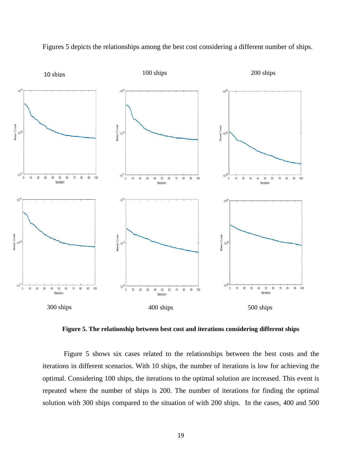

Figures 5 depicts the relationships among the best cost considering a different number of ships.

**Figure 5. The relationship between best cost and iterations considering different ships**

Figure 5 shows six cases related to the relationships between the best costs and the iterations in different scenarios. With 10 ships, the number of iterations is low for achieving the optimal. Considering 100 ships, the iterations to the optimal solution are increased. This event is repeated where the number of ships is 200. The number of iterations for finding the optimal solution with 300 ships compared to the situation of with 200 ships. In the cases, 400 and 500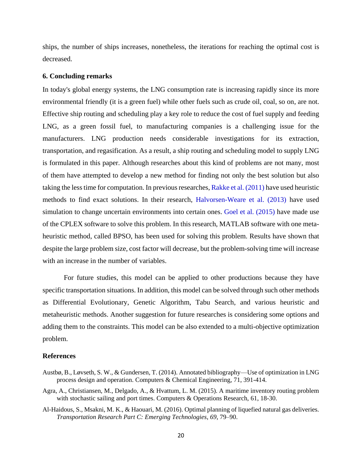ships, the number of ships increases, nonetheless, the iterations for reaching the optimal cost is decreased.

#### **6. Concluding remarks**

In today's global energy systems, the LNG consumption rate is increasing rapidly since its more environmental friendly (it is a green fuel) while other fuels such as crude oil, coal, so on, are not. Effective ship routing and scheduling play a key role to reduce the cost of fuel supply and feeding LNG, as a green fossil fuel, to manufacturing companies is a challenging issue for the manufacturers. LNG production needs considerable investigations for its extraction, transportation, and regasification. As a result, a ship routing and scheduling model to supply LNG is formulated in this paper. Although researches about this kind of problems are not many, most of them have attempted to develop a new method for finding not only the best solution but also taking the less time for computation. In previous researches, Rakke et al. (2011) have used heuristic methods to find exact solutions. In their research, Halvorsen-Weare et al. (2013) have used simulation to change uncertain environments into certain ones. Goel et al. (2015) have made use of the CPLEX software to solve this problem. In this research, MATLAB software with one metaheuristic method, called BPSO, has been used for solving this problem. Results have shown that despite the large problem size, cost factor will decrease, but the problem-solving time will increase with an increase in the number of variables.

For future studies, this model can be applied to other productions because they have specific transportation situations. In addition, this model can be solved through such other methods as Differential Evolutionary, Genetic Algorithm, Tabu Search, and various heuristic and metaheuristic methods. Another suggestion for future researches is considering some options and adding them to the constraints. This model can be also extended to a multi-objective optimization problem.

#### **References**

- Austbø, B., Løvseth, S. W., & Gundersen, T. (2014). Annotated bibliography—Use of optimization in LNG process design and operation. Computers & Chemical Engineering, 71, 391-414.
- Agra, A., Christiansen, M., Delgado, A., & Hvattum, L. M. (2015). A maritime inventory routing problem with stochastic sailing and port times. Computers & Operations Research, 61, 18-30.
- Al-Haidous, S., Msakni, M. K., & Haouari, M. (2016). Optimal planning of liquefied natural gas deliveries. *Transportation Research Part C: Emerging Technologies*, *69*, 79–90.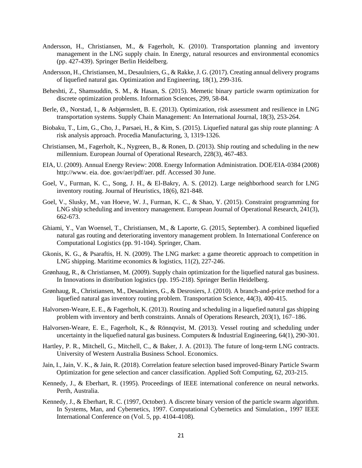- Andersson, H., Christiansen, M., & Fagerholt, K. (2010). Transportation planning and inventory management in the LNG supply chain. In Energy, natural resources and environmental economics (pp. 427-439). Springer Berlin Heidelberg.
- Andersson, H., Christiansen, M., Desaulniers, G., & Rakke, J. G. (2017). Creating annual delivery programs of liquefied natural gas. Optimization and Engineering, 18(1), 299-316.
- Beheshti, Z., Shamsuddin, S. M., & Hasan, S. (2015). Memetic binary particle swarm optimization for discrete optimization problems. Information Sciences, 299, 58-84.
- Berle, Ø., Norstad, I., & Asbjørnslett, B. E. (2013). Optimization, risk assessment and resilience in LNG transportation systems. Supply Chain Management: An International Journal, 18(3), 253-264.
- Biobaku, T., Lim, G., Cho, J., Parsaei, H., & Kim, S. (2015). Liquefied natural gas ship route planning: A risk analysis approach. Procedia Manufacturing, 3, 1319-1326.
- Christiansen, M., Fagerholt, K., Nygreen, B., & Ronen, D. (2013). Ship routing and scheduling in the new millennium. European Journal of Operational Research, 228(3), 467-483.
- EIA, U. (2009). Annual Energy Review: 2008. Energy Information Administration. DOE/EIA-0384 (2008) http://www. eia. doe. gov/aer/pdf/aer. pdf. Accessed 30 June.
- Goel, V., Furman, K. C., Song, J. H., & El-Bakry, A. S. (2012). Large neighborhood search for LNG inventory routing. Journal of Heuristics, 18(6), 821-848.
- Goel, V., Slusky, M., van Hoeve, W. J., Furman, K. C., & Shao, Y. (2015). Constraint programming for LNG ship scheduling and inventory management. European Journal of Operational Research, 241(3), 662-673.
- Ghiami, Y., Van Woensel, T., Christiansen, M., & Laporte, G. (2015, September). A combined liquefied natural gas routing and deteriorating inventory management problem. In International Conference on Computational Logistics (pp. 91-104). Springer, Cham.
- Gkonis, K. G., & Psaraftis, H. N. (2009). The LNG market: a game theoretic approach to competition in LNG shipping. Maritime economics & logistics, 11(2), 227-246.
- Grønhaug, R., & Christiansen, M. (2009). Supply chain optimization for the liquefied natural gas business. In Innovations in distribution logistics (pp. 195-218). Springer Berlin Heidelberg.
- Grønhaug, R., Christiansen, M., Desaulniers, G., & Desrosiers, J. (2010). A branch-and-price method for a liquefied natural gas inventory routing problem. Transportation Science, 44(3), 400-415.
- Halvorsen-Weare, E. E., & Fagerholt, K. (2013). Routing and scheduling in a liquefied natural gas shipping problem with inventory and berth constraints. Annals of Operations Research, 203(1), 167–186.
- Halvorsen-Weare, E. E., Fagerholt, K., & Rönnqvist, M. (2013). Vessel routing and scheduling under uncertainty in the liquefied natural gas business. Computers  $\&$  Industrial Engineering, 64(1), 290-301.
- Hartley, P. R., Mitchell, G., Mitchell, C., & Baker, J. A. (2013). The future of long-term LNG contracts. University of Western Australia Business School. Economics.
- Jain, I., Jain, V. K., & Jain, R. (2018). Correlation feature selection based improved-Binary Particle Swarm Optimization for gene selection and cancer classification. Applied Soft Computing, 62, 203-215.
- Kennedy, J., & Eberhart, R. (1995). Proceedings of IEEE international conference on neural networks. Perth, Australia.
- Kennedy, J., & Eberhart, R. C. (1997, October). A discrete binary version of the particle swarm algorithm. In Systems, Man, and Cybernetics, 1997. Computational Cybernetics and Simulation., 1997 IEEE International Conference on (Vol. 5, pp. 4104-4108).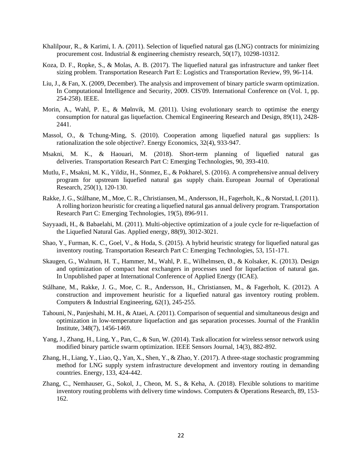- Khalilpour, R., & Karimi, I. A. (2011). Selection of liquefied natural gas (LNG) contracts for minimizing procurement cost. Industrial & engineering chemistry research, 50(17), 10298-10312.
- Koza, D. F., Ropke, S., & Molas, A. B. (2017). The liquefied natural gas infrastructure and tanker fleet sizing problem. Transportation Research Part E: Logistics and Transportation Review, 99, 96-114.
- Liu, J., & Fan, X. (2009, December). The analysis and improvement of binary particle swarm optimization. In Computational Intelligence and Security, 2009. CIS'09. International Conference on (Vol. 1, pp. 254-258). IEEE.
- Morin, A., Wahl, P. E., & Mølnvik, M. (2011). Using evolutionary search to optimise the energy consumption for natural gas liquefaction. Chemical Engineering Research and Design, 89(11), 2428- 2441.
- Massol, O., & Tchung-Ming, S. (2010). Cooperation among liquefied natural gas suppliers: Is rationalization the sole objective?. Energy Economics, 32(4), 933-947.
- Msakni, M. K., & Haouari, M. (2018). Short-term planning of liquefied natural gas deliveries. Transportation Research Part C: Emerging Technologies, 90, 393-410.
- Mutlu, F., Msakni, M. K., Yildiz, H., Sönmez, E., & Pokharel, S. (2016). A comprehensive annual delivery program for upstream liquefied natural gas supply chain. European Journal of Operational Research, 250(1), 120-130.
- Rakke, J. G., Stålhane, M., Moe, C. R., Christiansen, M., Andersson, H., Fagerholt, K., & Norstad, I. (2011). A rolling horizon heuristic for creating a liquefied natural gas annual delivery program. Transportation Research Part C: Emerging Technologies, 19(5), 896-911.
- Sayyaadi, H., & Babaelahi, M. (2011). Multi-objective optimization of a joule cycle for re-liquefaction of the Liquefied Natural Gas. Applied energy, 88(9), 3012-3021.
- Shao, Y., Furman, K. C., Goel, V., & Hoda, S. (2015). A hybrid heuristic strategy for liquefied natural gas inventory routing. Transportation Research Part C: Emerging Technologies, 53, 151-171.
- Skaugen, G., Walnum, H. T., Hammer, M., Wahl, P. E., Wilhelmsen, Ø., & Kolsaker, K. (2013). Design and optimization of compact heat exchangers in processes used for liquefaction of natural gas. In Unpublished paper at International Conference of Applied Energy (ICAE).
- Stålhane, M., Rakke, J. G., Moe, C. R., Andersson, H., Christiansen, M., & Fagerholt, K. (2012). A construction and improvement heuristic for a liquefied natural gas inventory routing problem. Computers & Industrial Engineering, 62(1), 245-255.
- Tahouni, N., Panjeshahi, M. H., & Ataei, A. (2011). Comparison of sequential and simultaneous design and optimization in low-temperature liquefaction and gas separation processes. Journal of the Franklin Institute, 348(7), 1456-1469.
- Yang, J., Zhang, H., Ling, Y., Pan, C., & Sun, W. (2014). Task allocation for wireless sensor network using modified binary particle swarm optimization. IEEE Sensors Journal, 14(3), 882-892.
- Zhang, H., Liang, Y., Liao, Q., Yan, X., Shen, Y., & Zhao, Y. (2017). A three-stage stochastic programming method for LNG supply system infrastructure development and inventory routing in demanding countries. Energy, 133, 424-442.
- Zhang, C., Nemhauser, G., Sokol, J., Cheon, M. S., & Keha, A. (2018). Flexible solutions to maritime inventory routing problems with delivery time windows. Computers & Operations Research, 89, 153- 162.